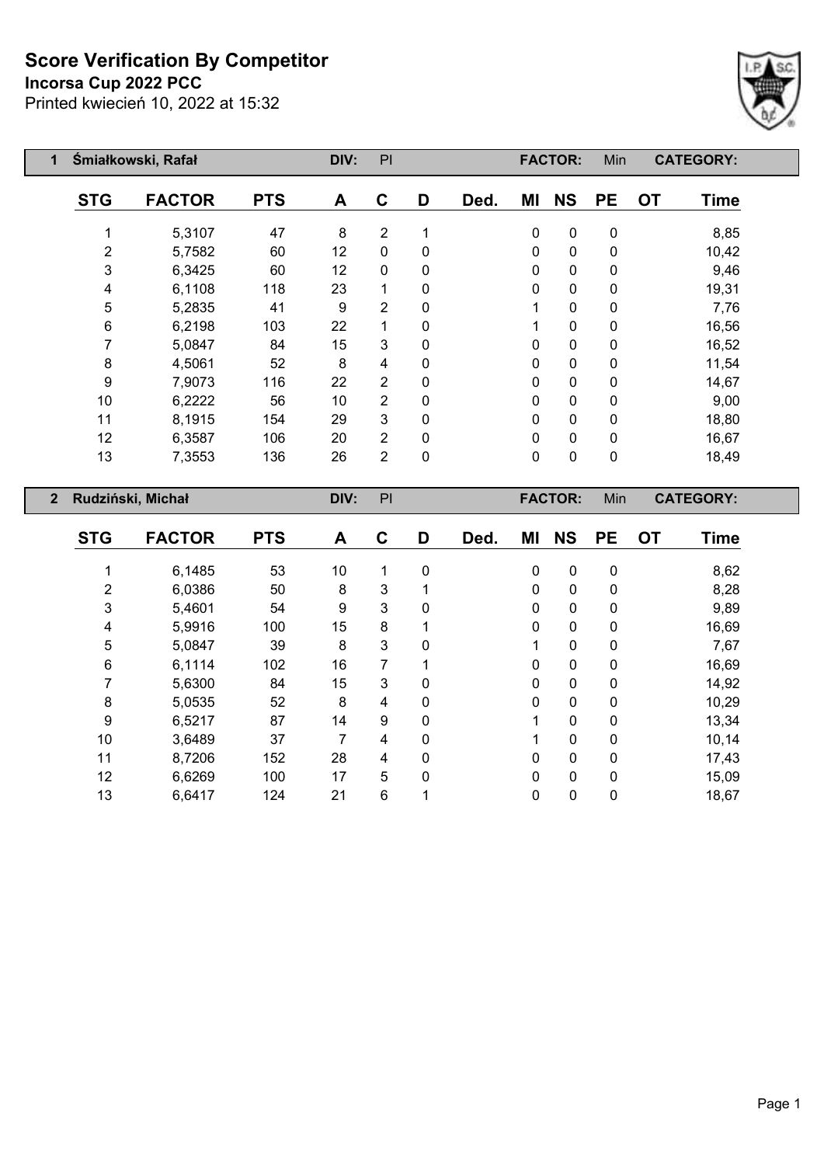#### **Incorsa Cup 2022 PCC**



| 1              |                | Śmiałkowski, Rafał |            | DIV: | PI             |   |      |             | <b>FACTOR:</b> | Min       |           | <b>CATEGORY:</b> |
|----------------|----------------|--------------------|------------|------|----------------|---|------|-------------|----------------|-----------|-----------|------------------|
|                | <b>STG</b>     | <b>FACTOR</b>      | <b>PTS</b> | A    | C              | D | Ded. | ΜI          | <b>NS</b>      | <b>PE</b> | <b>OT</b> | <b>Time</b>      |
|                | 1              | 5,3107             | 47         | 8    | $\overline{2}$ | 1 |      | $\mathbf 0$ | $\pmb{0}$      | $\pmb{0}$ |           | 8,85             |
|                | $\overline{2}$ | 5,7582             | 60         | 12   | $\mathbf{0}$   | 0 |      | $\mathbf 0$ | $\mathbf 0$    | 0         |           | 10,42            |
|                | $\mathfrak{S}$ | 6,3425             | 60         | 12   | $\mathbf{0}$   | 0 |      | 0           | $\mathbf 0$    | 0         |           | 9,46             |
|                | 4              | 6,1108             | 118        | 23   |                | 0 |      | 0           | $\mathbf 0$    | 0         |           | 19,31            |
|                | 5              | 5,2835             | 41         | 9    | $\overline{2}$ | 0 |      | 1           | $\mathbf 0$    | 0         |           | 7,76             |
|                | 6              | 6,2198             | 103        | 22   |                | 0 |      |             | $\mathbf 0$    | 0         |           | 16,56            |
|                | 7              | 5,0847             | 84         | 15   | 3              | 0 |      | 0           | $\mathbf 0$    | 0         |           | 16,52            |
|                | 8              | 4,5061             | 52         | 8    | 4              | 0 |      | 0           | $\mathbf 0$    | 0         |           | 11,54            |
|                | 9              | 7,9073             | 116        | 22   | $\overline{2}$ | 0 |      | 0           | $\mathbf 0$    | 0         |           | 14,67            |
|                | 10             | 6,2222             | 56         | 10   | $\overline{2}$ | 0 |      | 0           | $\mathbf 0$    | 0         |           | 9,00             |
|                | 11             | 8,1915             | 154        | 29   | 3              | 0 |      | 0           | $\mathbf 0$    | 0         |           | 18,80            |
|                | 12             | 6,3587             | 106        | 20   | $\overline{2}$ | 0 |      | 0           | $\mathbf 0$    | $\pmb{0}$ |           | 16,67            |
|                | 13             | 7,3553             | 136        | 26   | $\overline{2}$ | 0 |      | 0           | $\mathbf 0$    | $\pmb{0}$ |           | 18,49            |
| $\overline{2}$ |                | Rudziński, Michał  |            | DIV: | PI             |   |      |             | <b>FACTOR:</b> | Min       |           | <b>CATEGORY:</b> |

| KUULIISKI, MILIAT |               |            | PIV. |   |   |      |          | I AVIVI.     | <b>IVIIII</b> |           | <u>UAILUUNI.</u> |  |
|-------------------|---------------|------------|------|---|---|------|----------|--------------|---------------|-----------|------------------|--|
| <b>STG</b>        | <b>FACTOR</b> | <b>PTS</b> | A    | C | D | Ded. | ΜI       | <b>NS</b>    | <b>PE</b>     | <b>OT</b> | <b>Time</b>      |  |
|                   | 6,1485        | 53         | 10   | 1 | 0 |      | 0        | $\mathbf 0$  | $\mathbf 0$   |           | 8,62             |  |
| 2                 | 6,0386        | 50         | 8    | 3 |   |      | $\Omega$ | 0            | 0             |           | 8,28             |  |
| 3                 | 5,4601        | 54         | 9    | 3 | 0 |      | $\Omega$ | $\mathbf 0$  | 0             |           | 9,89             |  |
| 4                 | 5,9916        | 100        | 15   | 8 |   |      | $\Omega$ | $\mathbf 0$  | 0             |           | 16,69            |  |
| 5                 | 5,0847        | 39         | 8    | 3 | 0 |      |          | $\mathbf{0}$ | 0             |           | 7,67             |  |
| 6                 | 6,1114        | 102        | 16   | 7 |   |      | $\Omega$ | $\mathbf 0$  | 0             |           | 16,69            |  |
|                   | 5,6300        | 84         | 15   | 3 | 0 |      | 0        | 0            | 0             |           | 14,92            |  |
| 8                 | 5,0535        | 52         | 8    | 4 | 0 |      | $\Omega$ | $\mathbf 0$  | 0             |           | 10,29            |  |
| 9                 | 6,5217        | 87         | 14   | 9 | 0 |      |          | $\mathbf{0}$ | 0             |           | 13,34            |  |
| 10                | 3,6489        | 37         | 7    | 4 | 0 |      |          | $\mathbf 0$  | 0             |           | 10,14            |  |
| 11                | 8,7206        | 152        | 28   | 4 | 0 |      | $\Omega$ | $\mathbf 0$  | 0             |           | 17,43            |  |
| 12                | 6,6269        | 100        | 17   | 5 | 0 |      | $\Omega$ | $\mathbf{0}$ | $\mathbf{0}$  |           | 15,09            |  |
| 13                | 6,6417        | 124        | 21   | 6 |   |      | 0        | $\mathbf 0$  | 0             |           | 18,67            |  |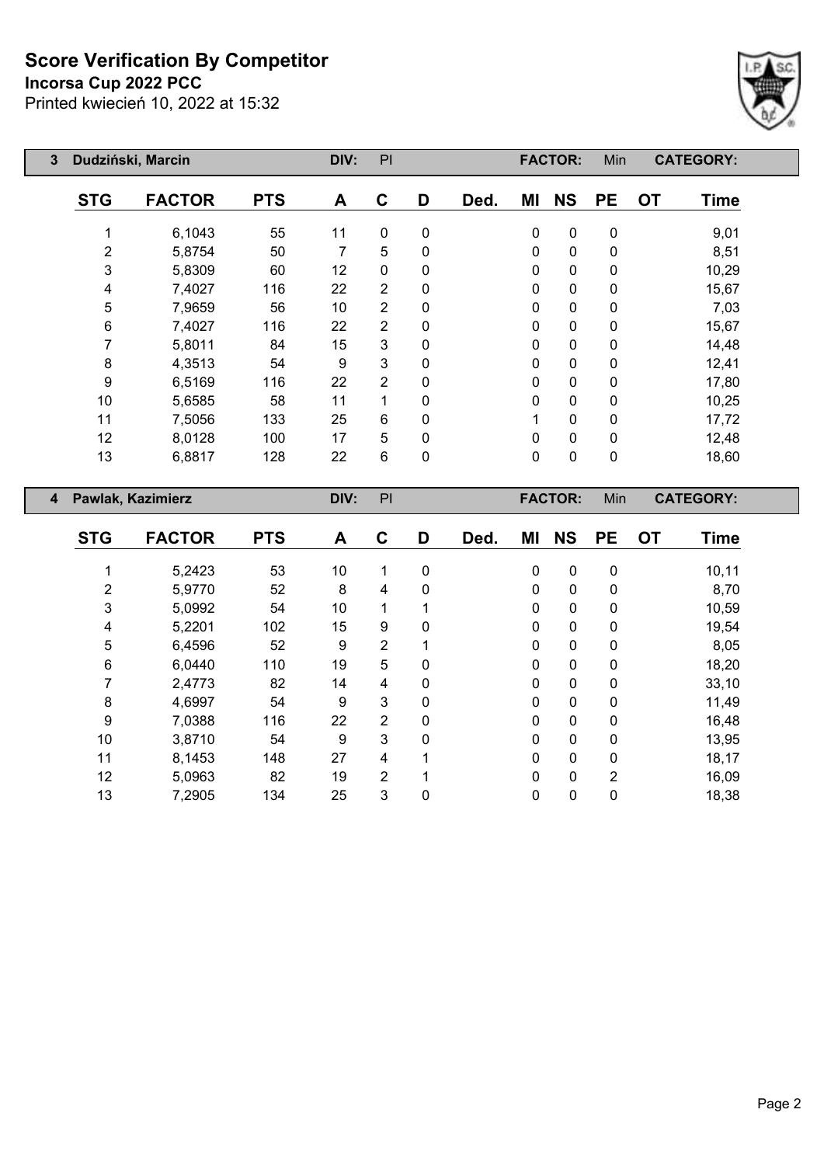#### **Incorsa Cup 2022 PCC**



| 3                       |            | Dudziński, Marcin |            | DIV: | PI             |   |      |    | <b>FACTOR:</b> | Min       | <b>CATEGORY:</b>         |  |
|-------------------------|------------|-------------------|------------|------|----------------|---|------|----|----------------|-----------|--------------------------|--|
|                         | <b>STG</b> | <b>FACTOR</b>     | <b>PTS</b> | A    | C              | D | Ded. | ΜI | <b>NS</b>      | <b>PE</b> | <b>OT</b><br><b>Time</b> |  |
|                         |            | 6,1043            | 55         | 11   | $\mathbf{0}$   | 0 |      | 0  | $\mathbf 0$    | 0         | 9,01                     |  |
|                         | 2          | 5,8754            | 50         | 7    | 5              | 0 |      | 0  | $\mathbf 0$    | 0         | 8,51                     |  |
|                         | 3          | 5,8309            | 60         | 12   | $\mathbf{0}$   | 0 |      | 0  | $\mathbf 0$    | 0         | 10,29                    |  |
|                         | 4          | 7,4027            | 116        | 22   | 2              | 0 |      | 0  | $\mathbf 0$    | 0         | 15,67                    |  |
|                         | 5          | 7,9659            | 56         | 10   | $\overline{2}$ | 0 |      | 0  | $\mathbf{0}$   | 0         | 7,03                     |  |
|                         | 6          | 7,4027            | 116        | 22   | $\overline{2}$ | 0 |      | 0  | $\mathbf 0$    | 0         | 15,67                    |  |
|                         | 7          | 5,8011            | 84         | 15   | 3              | 0 |      | 0  | 0              | 0         | 14,48                    |  |
|                         | 8          | 4,3513            | 54         | 9    | 3              | 0 |      | 0  | $\mathbf 0$    | 0         | 12,41                    |  |
|                         | 9          | 6,5169            | 116        | 22   | $\overline{2}$ | 0 |      | 0  | $\mathbf 0$    | 0         | 17,80                    |  |
|                         | 10         | 5,6585            | 58         | 11   |                | 0 |      | 0  | $\mathbf 0$    | 0         | 10,25                    |  |
|                         | 11         | 7,5056            | 133        | 25   | 6              | 0 |      |    | $\mathbf 0$    | 0         | 17,72                    |  |
|                         | 12         | 8,0128            | 100        | 17   | 5              | 0 |      | 0  | $\mathbf 0$    | 0         | 12,48                    |  |
|                         | 13         | 6,8817            | 128        | 22   | 6              | 0 |      | 0  | $\mathbf 0$    | 0         | 18,60                    |  |
| $\overline{\mathbf{4}}$ |            | Pawlak, Kazimierz |            | DIV: | PI             |   |      |    | <b>FACTOR:</b> | Min       | <b>CATEGORY:</b>         |  |

| <b>STG</b> | <b>FACTOR</b> | <b>PTS</b> | A  | C              | D            | Ded. | ΜI          | <b>NS</b>   | <b>PE</b> | <b>OT</b> | Time   |
|------------|---------------|------------|----|----------------|--------------|------|-------------|-------------|-----------|-----------|--------|
|            | 5,2423        | 53         | 10 | 1              | $\mathbf 0$  |      | $\mathbf 0$ | $\mathbf 0$ | 0         |           | 10, 11 |
| 2          | 5,9770        | 52         | 8  | 4              | $\Omega$     |      | 0           | $\mathbf 0$ | 0         |           | 8,70   |
| 3          | 5,0992        | 54         | 10 | 1              |              |      | 0           | $\mathbf 0$ | 0         |           | 10,59  |
| 4          | 5,2201        | 102        | 15 | 9              | $\mathbf{0}$ |      | 0           | $\mathbf 0$ | 0         |           | 19,54  |
| 5          | 6,4596        | 52         | 9  | $\overline{2}$ |              |      | 0           | $\mathbf 0$ | 0         |           | 8,05   |
| 6          | 6,0440        | 110        | 19 | 5              | $\mathbf 0$  |      | 0           | $\mathbf 0$ | 0         |           | 18,20  |
| 7          | 2,4773        | 82         | 14 | 4              | $\mathbf{0}$ |      | 0           | $\mathbf 0$ | 0         |           | 33,10  |
| 8          | 4,6997        | 54         | 9  | 3              | $\mathbf{0}$ |      | 0           | $\pmb{0}$   | 0         |           | 11,49  |
| 9          | 7,0388        | 116        | 22 | $\overline{2}$ | $\mathbf 0$  |      | 0           | $\mathbf 0$ | 0         |           | 16,48  |
| 10         | 3,8710        | 54         | 9  | 3              | $\Omega$     |      | 0           | $\mathbf 0$ | 0         |           | 13,95  |
| 11         | 8,1453        | 148        | 27 | 4              |              |      | 0           | $\mathbf 0$ | 0         |           | 18,17  |
| 12         | 5,0963        | 82         | 19 | $\overline{2}$ |              |      | 0           | $\mathbf 0$ | 2         |           | 16,09  |
| 13         | 7,2905        | 134        | 25 | 3              | 0            |      | 0           | 0           | 0         |           | 18,38  |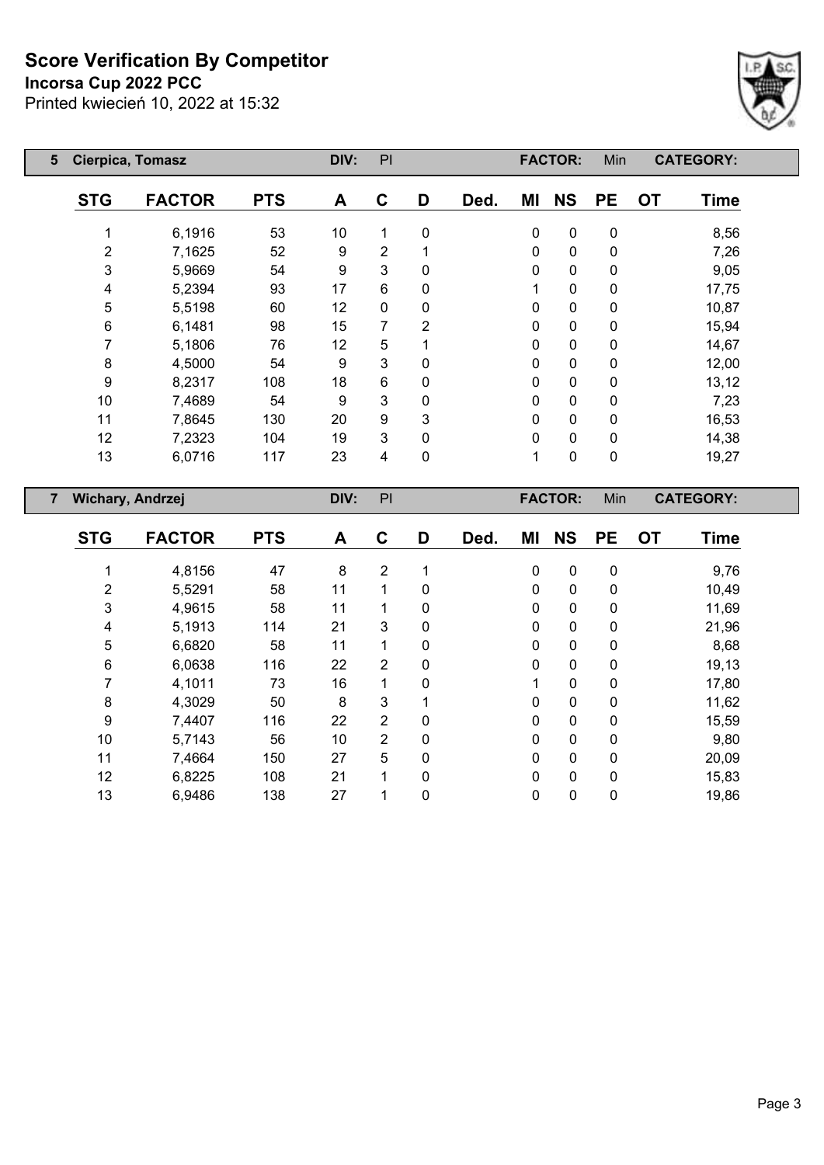#### **Incorsa Cup 2022 PCC**



| $5\overline{)}$ | <b>Cierpica, Tomasz</b> |               |            | DIV: | PI             |                |      |              | <b>FACTOR:</b> | Min       |           | <b>CATEGORY:</b> |  |
|-----------------|-------------------------|---------------|------------|------|----------------|----------------|------|--------------|----------------|-----------|-----------|------------------|--|
|                 | <b>STG</b>              | <b>FACTOR</b> | <b>PTS</b> | A    | C              | D              | Ded. | ΜI           | <b>NS</b>      | <b>PE</b> | <b>OT</b> | <b>Time</b>      |  |
|                 |                         | 6,1916        | 53         | 10   | 1              | 0              |      | $\pmb{0}$    | $\pmb{0}$      | 0         |           | 8,56             |  |
|                 | 2                       | 7,1625        | 52         | 9    | $\overline{2}$ |                |      | $\mathbf 0$  | $\mathbf 0$    | 0         |           | 7,26             |  |
|                 | 3                       | 5,9669        | 54         | 9    | 3              | 0              |      | 0            | $\mathbf 0$    | 0         |           | 9,05             |  |
|                 | 4                       | 5,2394        | 93         | 17   | 6              | 0              |      |              | $\mathbf 0$    | 0         |           | 17,75            |  |
|                 | 5                       | 5,5198        | 60         | 12   | $\mathbf{0}$   | 0              |      | $\mathbf 0$  | $\mathbf 0$    | 0         |           | 10,87            |  |
|                 | 6                       | 6,1481        | 98         | 15   | 7              | $\overline{2}$ |      | $\mathbf{0}$ | $\mathbf 0$    | 0         |           | 15,94            |  |
|                 | 7                       | 5,1806        | 76         | 12   | 5              |                |      | $\mathbf 0$  | $\mathbf 0$    | 0         |           | 14,67            |  |
|                 | 8                       | 4,5000        | 54         | 9    | 3              | 0              |      | $\mathbf 0$  | $\pmb{0}$      | 0         |           | 12,00            |  |
|                 | 9                       | 8,2317        | 108        | 18   | 6              | 0              |      | $\mathbf 0$  | $\pmb{0}$      | 0         |           | 13,12            |  |
|                 | 10                      | 7,4689        | 54         | 9    | 3              | 0              |      | $\mathbf 0$  | $\mathbf 0$    | 0         |           | 7,23             |  |
|                 | 11                      | 7,8645        | 130        | 20   | 9              | 3              |      | 0            | $\mathbf 0$    | 0         |           | 16,53            |  |
|                 | 12                      | 7,2323        | 104        | 19   | 3              | 0              |      | $\mathbf 0$  | 0              | 0         |           | 14,38            |  |
|                 | 13                      | 6,0716        | 117        | 23   | 4              | 0              |      | 1            | $\pmb{0}$      | 0         |           | 19,27            |  |
|                 |                         |               |            |      |                |                |      |              |                |           |           |                  |  |

| $\overline{7}$ |            | <b>Wichary, Andrzej</b> |            | DIV: | PI             |          |      |              | <b>FACTOR:</b> | Min         |           | <b>CATEGORY:</b> |
|----------------|------------|-------------------------|------------|------|----------------|----------|------|--------------|----------------|-------------|-----------|------------------|
|                | <b>STG</b> | <b>FACTOR</b>           | <b>PTS</b> | A    | C              | D        | Ded. | ΜI           | <b>NS</b>      | <b>PE</b>   | <b>OT</b> | <b>Time</b>      |
|                |            | 4,8156                  | 47         | 8    | $\overline{2}$ |          |      | $\mathbf 0$  | $\mathbf 0$    | $\mathbf 0$ |           | 9,76             |
|                | 2          | 5,5291                  | 58         | 11   |                | 0        |      | 0            | 0              | 0           |           | 10,49            |
|                | 3          | 4,9615                  | 58         | 11   |                | 0        |      | $\mathbf{0}$ | 0              | 0           |           | 11,69            |
|                | 4          | 5,1913                  | 114        | 21   | 3              | 0        |      | 0            | 0              | 0           |           | 21,96            |
|                | 5          | 6,6820                  | 58         | 11   |                | 0        |      | 0            | 0              | 0           |           | 8,68             |
|                | 6          | 6,0638                  | 116        | 22   | $\overline{2}$ | 0        |      | 0            | 0              | 0           |           | 19,13            |
|                | 7          | 4,1011                  | 73         | 16   |                | 0        |      | 1            | 0              | 0           |           | 17,80            |
|                | 8          | 4,3029                  | 50         | 8    | 3              |          |      | 0            | 0              | 0           |           | 11,62            |
|                | 9          | 7,4407                  | 116        | 22   | $\overline{2}$ | 0        |      | 0            | 0              | 0           |           | 15,59            |
|                | 10         | 5,7143                  | 56         | 10   | $\overline{2}$ | 0        |      | 0            | 0              | 0           |           | 9,80             |
|                | 11         | 7,4664                  | 150        | 27   | 5              | $\Omega$ |      | 0            | 0              | 0           |           | 20,09            |
|                | 12         | 6,8225                  | 108        | 21   | 1              | 0        |      | 0            | 0              | $\mathbf 0$ |           | 15,83            |
|                | 13         | 6,9486                  | 138        | 27   |                | 0        |      | 0            | 0              | 0           |           | 19,86            |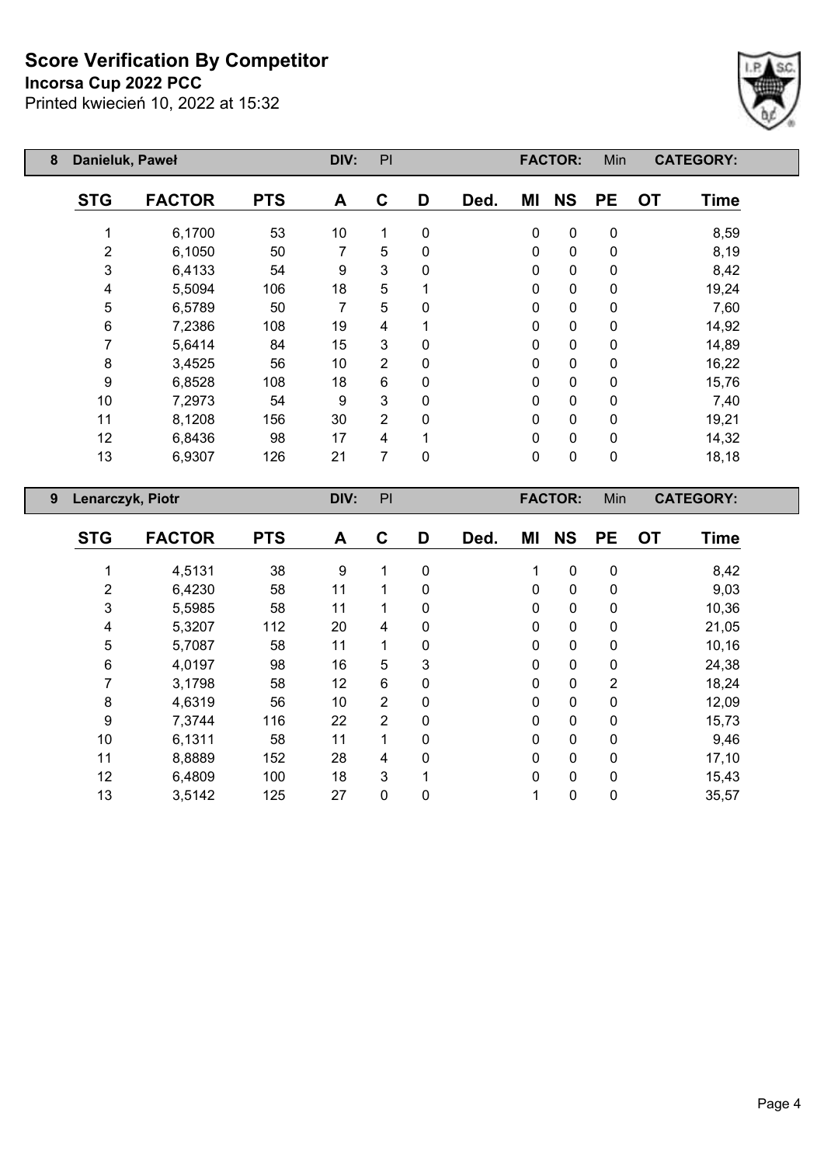## **Incorsa Cup 2022 PCC**



| 8 | Danieluk, Paweł |               |            | DIV: | PI             |             |      |    | <b>FACTOR:</b> | Min       |           | <b>CATEGORY:</b> |  |
|---|-----------------|---------------|------------|------|----------------|-------------|------|----|----------------|-----------|-----------|------------------|--|
|   | <b>STG</b>      | <b>FACTOR</b> | <b>PTS</b> | A    | C              | D           | Ded. | ΜI | <b>NS</b>      | <b>PE</b> | <b>OT</b> | <b>Time</b>      |  |
|   |                 | 6,1700        | 53         | 10   | 1              | $\pmb{0}$   |      | 0  | $\pmb{0}$      | 0         |           | 8,59             |  |
|   | $\overline{2}$  | 6,1050        | 50         | 7    | 5              | 0           |      | 0  | $\mathbf 0$    | 0         |           | 8,19             |  |
|   | 3               | 6,4133        | 54         | 9    | 3              | $\Omega$    |      | 0  | $\pmb{0}$      | 0         |           | 8,42             |  |
|   | 4               | 5,5094        | 106        | 18   | 5              |             |      | 0  | $\mathbf 0$    | 0         |           | 19,24            |  |
|   | 5               | 6,5789        | 50         | 7    | 5              | $\Omega$    |      | 0  | $\pmb{0}$      | 0         |           | 7,60             |  |
|   | 6               | 7,2386        | 108        | 19   | 4              |             |      | 0  | $\mathbf 0$    | 0         |           | 14,92            |  |
|   |                 | 5,6414        | 84         | 15   | 3              | $\mathbf 0$ |      | 0  | $\pmb{0}$      | 0         |           | 14,89            |  |
|   | 8               | 3,4525        | 56         | 10   | $\overline{2}$ | $\mathbf 0$ |      | 0  | $\pmb{0}$      | 0         |           | 16,22            |  |
|   | 9               | 6,8528        | 108        | 18   | 6              | $\mathbf 0$ |      | 0  | $\pmb{0}$      | 0         |           | 15,76            |  |
|   | 10              | 7,2973        | 54         | 9    | 3              | 0           |      | 0  | $\pmb{0}$      | 0         |           | 7,40             |  |
|   | 11              | 8,1208        | 156        | 30   | $\overline{2}$ | 0           |      | 0  | $\mathbf 0$    | 0         |           | 19,21            |  |
|   | 12              | 6,8436        | 98         | 17   | 4              |             |      | 0  | $\pmb{0}$      | 0         |           | 14,32            |  |
|   | 13              | 6,9307        | 126        | 21   | 7              | $\mathbf 0$ |      | 0  | $\pmb{0}$      | 0         |           | 18,18            |  |
|   |                 |               |            |      |                |             |      |    |                |           |           |                  |  |

| 9 | Lenarczyk, Piotr |               |            | DIV: | PI             |   |      |             | <b>FACTOR:</b> | Min            |           | <b>CATEGORY:</b> |  |
|---|------------------|---------------|------------|------|----------------|---|------|-------------|----------------|----------------|-----------|------------------|--|
|   | <b>STG</b>       | <b>FACTOR</b> | <b>PTS</b> | A    | C              | D | Ded. | ΜI          | <b>NS</b>      | <b>PE</b>      | <b>OT</b> | <b>Time</b>      |  |
|   |                  | 4,5131        | 38         | 9    | 1              | 0 |      | 1           | $\mathbf 0$    | $\mathbf 0$    |           | 8,42             |  |
|   | $\overline{2}$   | 6,4230        | 58         | 11   | 1              | 0 |      | 0           | $\mathbf 0$    | $\mathbf 0$    |           | 9,03             |  |
|   | 3                | 5,5985        | 58         | 11   | 1              | 0 |      | $\mathbf 0$ | $\pmb{0}$      | $\mathbf 0$    |           | 10,36            |  |
|   | 4                | 5,3207        | 112        | 20   | 4              | 0 |      | 0           | $\pmb{0}$      | $\mathbf 0$    |           | 21,05            |  |
|   | 5                | 5,7087        | 58         | 11   | 1              | 0 |      | $\pmb{0}$   | $\pmb{0}$      | $\mathbf 0$    |           | 10,16            |  |
|   | 6                | 4,0197        | 98         | 16   | 5              | 3 |      | 0           | $\mathbf 0$    | $\mathbf 0$    |           | 24,38            |  |
|   | 7                | 3,1798        | 58         | 12   | 6              | 0 |      | 0           | $\mathbf 0$    | $\overline{2}$ |           | 18,24            |  |
|   | 8                | 4,6319        | 56         | 10   | $\overline{2}$ | 0 |      | $\mathbf 0$ | $\pmb{0}$      | $\mathbf 0$    |           | 12,09            |  |
|   | 9                | 7,3744        | 116        | 22   | $\overline{2}$ | 0 |      | 0           | $\pmb{0}$      | $\mathbf 0$    |           | 15,73            |  |
|   | 10               | 6,1311        | 58         | 11   | 1              | 0 |      | $\mathbf 0$ | $\pmb{0}$      | $\mathbf 0$    |           | 9,46             |  |
|   | 11               | 8,8889        | 152        | 28   | 4              | 0 |      | 0           | $\pmb{0}$      | $\mathbf 0$    |           | 17,10            |  |
|   | 12               | 6,4809        | 100        | 18   | 3              |   |      | 0           | $\mathbf 0$    | $\mathbf 0$    |           | 15,43            |  |
|   | 13               | 3,5142        | 125        | 27   | 0              | 0 |      | 1           | $\pmb{0}$      | 0              |           | 35,57            |  |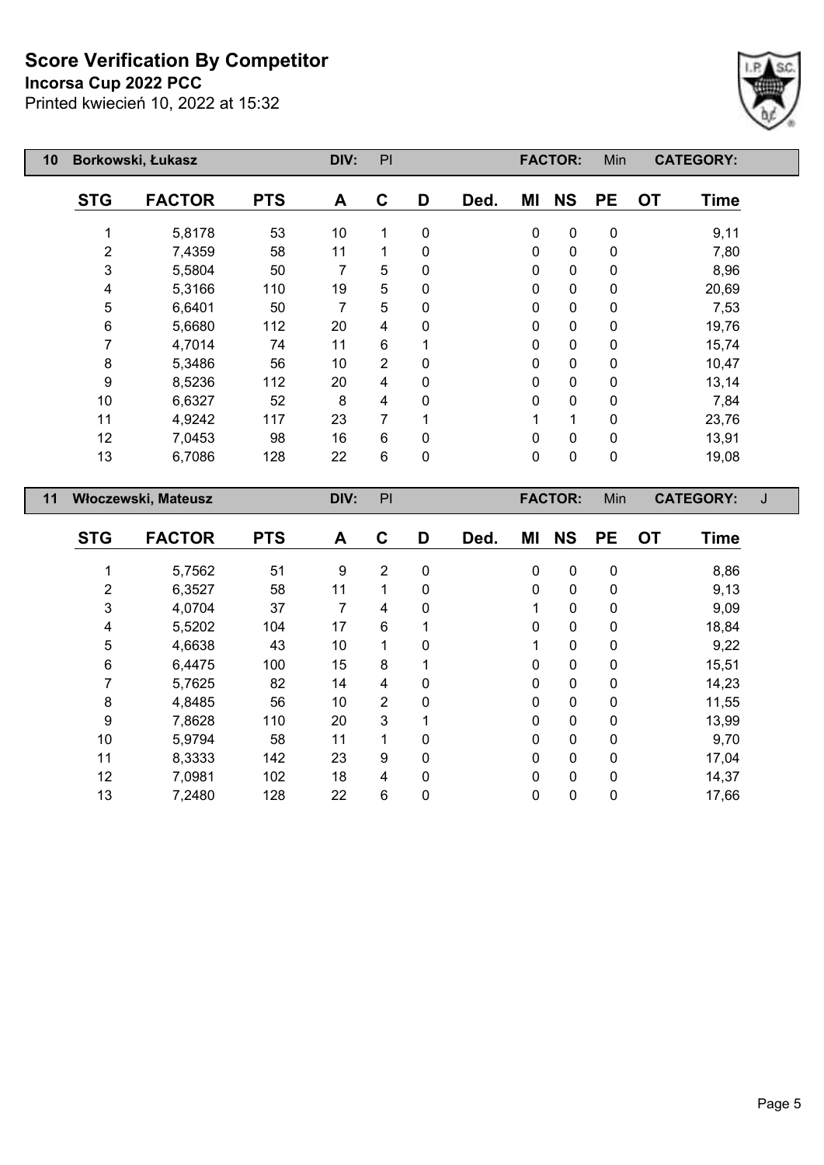## **Incorsa Cup 2022 PCC**



| 10 |            | Borkowski, Łukasz   |            | DIV: | PI             |   |      |             | <b>FACTOR:</b> | Min         |           | <b>CATEGORY:</b> |  |
|----|------------|---------------------|------------|------|----------------|---|------|-------------|----------------|-------------|-----------|------------------|--|
|    | <b>STG</b> | <b>FACTOR</b>       | <b>PTS</b> | A    | C              | D | Ded. | ΜI          | <b>NS</b>      | <b>PE</b>   | <b>OT</b> | <b>Time</b>      |  |
|    |            | 5,8178              | 53         | 10   | 1              | 0 |      | 0           | 0              | $\pmb{0}$   |           | 9,11             |  |
|    | 2          | 7,4359              | 58         | 11   | 1              | 0 |      | $\mathbf 0$ | 0              | 0           |           | 7,80             |  |
|    | 3          | 5,5804              | 50         | 7    | 5              | 0 |      | 0           | 0              | $\mathbf 0$ |           | 8,96             |  |
|    | 4          | 5,3166              | 110        | 19   | 5              | 0 |      | 0           | 0              | 0           |           | 20,69            |  |
|    | 5          | 6,6401              | 50         | 7    | 5              | 0 |      | 0           | 0              | 0           |           | 7,53             |  |
|    | 6          | 5,6680              | 112        | 20   | 4              | 0 |      | 0           | 0              | 0           |           | 19,76            |  |
|    | 7          | 4,7014              | 74         | 11   | 6              |   |      | 0           | 0              | 0           |           | 15,74            |  |
|    | 8          | 5,3486              | 56         | 10   | $\overline{2}$ | 0 |      | 0           | 0              | $\pmb{0}$   |           | 10,47            |  |
|    | 9          | 8,5236              | 112        | 20   | 4              | 0 |      | 0           | 0              | 0           |           | 13,14            |  |
|    | 10         | 6,6327              | 52         | 8    | 4              | 0 |      | 0           | 0              | 0           |           | 7,84             |  |
|    | 11         | 4,9242              | 117        | 23   | 7              |   |      |             | 1              | 0           |           | 23,76            |  |
|    | 12         | 7,0453              | 98         | 16   | 6              | 0 |      | $\Omega$    | 0              | $\pmb{0}$   |           | 13,91            |  |
|    | 13         | 6,7086              | 128        | 22   | $6\phantom{1}$ | 0 |      | 0           | 0              | $\pmb{0}$   |           | 19,08            |  |
| 11 |            | Włoczewski, Mateusz |            | DIV: | PI             |   |      |             | <b>FACTOR:</b> | Min         |           | <b>CATEGORY:</b> |  |
|    | <b>STG</b> | <b>FACTOR</b>       | <b>PTS</b> | A    | C              | D | Ded. | ΜI          | <b>NS</b>      | <b>PE</b>   | <b>OT</b> | Time             |  |

| <b>STG</b> | <b>FACTOR</b> | <b>PTS</b> | A  | C              | D        | Ded. | ΜI           | <b>NS</b>    | <b>PE</b> | <b>OT</b> | Time  |
|------------|---------------|------------|----|----------------|----------|------|--------------|--------------|-----------|-----------|-------|
|            | 5,7562        | 51         | 9  | 2              | 0        |      | 0            | 0            | 0         |           | 8,86  |
| 2          | 6,3527        | 58         | 11 | 1              | 0        |      | $\mathbf{0}$ | $\mathbf{0}$ | 0         |           | 9,13  |
| 3          | 4,0704        | 37         | 7  | 4              | 0        |      |              | 0            | 0         |           | 9,09  |
| 4          | 5,5202        | 104        | 17 | 6              | 1        |      | 0            | 0            | 0         |           | 18,84 |
| 5          | 4,6638        | 43         | 10 | 1              | 0        |      |              | 0            | 0         |           | 9,22  |
| 6          | 6,4475        | 100        | 15 | 8              |          |      | 0            | 0            | 0         |           | 15,51 |
|            | 5,7625        | 82         | 14 | 4              | $\Omega$ |      | 0            | 0            | 0         |           | 14,23 |
| 8          | 4,8485        | 56         | 10 | $\overline{2}$ | 0        |      | 0            | 0            | 0         |           | 11,55 |
| 9          | 7,8628        | 110        | 20 | 3              | 1        |      | $\Omega$     | $\mathbf{0}$ | $\Omega$  |           | 13,99 |
| 10         | 5,9794        | 58         | 11 | 1              | 0        |      | 0            | 0            | 0         |           | 9,70  |
| 11         | 8,3333        | 142        | 23 | 9              | $\Omega$ |      | $\Omega$     | $\mathbf{0}$ | $\Omega$  |           | 17,04 |
| 12         | 7,0981        | 102        | 18 | 4              | 0        |      | $\mathbf{0}$ | 0            | 0         |           | 14,37 |
| 13         | 7,2480        | 128        | 22 | 6              | 0        |      | 0            | 0            | 0         |           | 17,66 |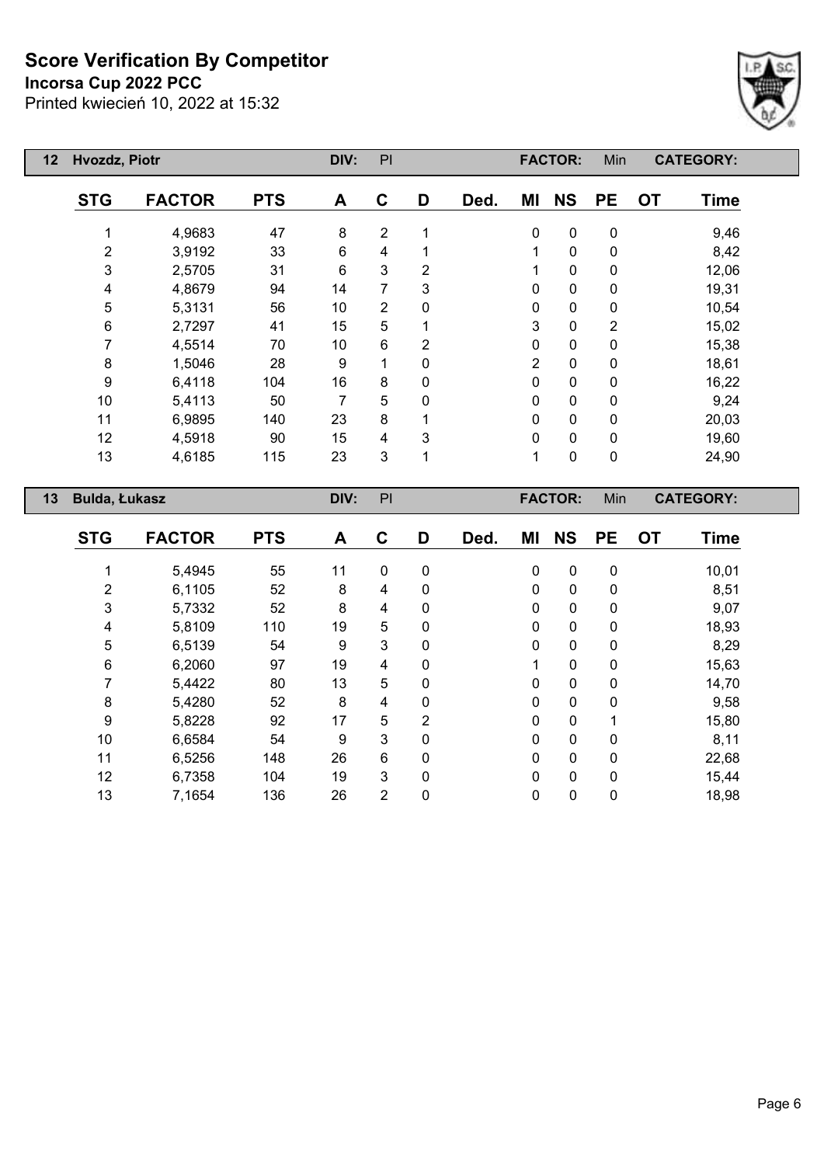## **Incorsa Cup 2022 PCC**



| 12 | Hvozdz, Piotr    |               |            | DIV:           | PI             |                |      |                | <b>FACTOR:</b> | Min            |           | <b>CATEGORY:</b> |
|----|------------------|---------------|------------|----------------|----------------|----------------|------|----------------|----------------|----------------|-----------|------------------|
|    | <b>STG</b>       | <b>FACTOR</b> | <b>PTS</b> | A              | C              | D              | Ded. | ΜI             | <b>NS</b>      | <b>PE</b>      | <b>OT</b> | <b>Time</b>      |
|    |                  | 4,9683        | 47         | 8              | $\overline{2}$ |                |      | $\mathbf 0$    | $\pmb{0}$      | $\mathbf 0$    |           | 9,46             |
|    | $\overline{2}$   | 3,9192        | 33         | $6\phantom{1}$ | 4              |                |      | 1              | $\pmb{0}$      | $\mathbf 0$    |           | 8,42             |
|    | 3                | 2,5705        | 31         | $6\phantom{1}$ | 3              | $\overline{2}$ |      | 1              | $\pmb{0}$      | $\mathbf 0$    |           | 12,06            |
|    | 4                | 4,8679        | 94         | 14             | 7              | 3              |      | $\mathbf{0}$   | $\pmb{0}$      | $\pmb{0}$      |           | 19,31            |
|    | 5                | 5,3131        | 56         | 10             | $\overline{2}$ | 0              |      | 0              | $\pmb{0}$      | $\mathbf 0$    |           | 10,54            |
|    | 6                | 2,7297        | 41         | 15             | 5              |                |      | 3              | $\mathbf 0$    | $\overline{2}$ |           | 15,02            |
|    | 7                | 4,5514        | 70         | 10             | 6              | 2              |      | 0              | $\mathbf 0$    | $\mathbf 0$    |           | 15,38            |
|    | 8                | 1,5046        | 28         | 9              | 1              | $\mathbf{0}$   |      | $\overline{2}$ | $\mathbf 0$    | $\mathbf 0$    |           | 18,61            |
|    | $\boldsymbol{9}$ | 6,4118        | 104        | 16             | 8              | $\mathbf{0}$   |      | $\mathbf 0$    | $\mathbf 0$    | $\mathbf 0$    |           | 16,22            |
|    | 10               | 5,4113        | 50         | 7              | 5              | $\mathbf 0$    |      | $\mathbf 0$    | $\mathbf 0$    | $\mathbf 0$    |           | 9,24             |
|    | 11               | 6,9895        | 140        | 23             | 8              |                |      | $\mathbf 0$    | $\pmb{0}$      | $\mathbf 0$    |           | 20,03            |
|    | 12               | 4,5918        | 90         | 15             | 4              | 3              |      | $\mathbf 0$    | $\mathbf 0$    | $\pmb{0}$      |           | 19,60            |
|    | 13               | 4,6185        | 115        | 23             | 3              | 1              |      | 1              | $\pmb{0}$      | $\pmb{0}$      |           | 24,90            |
| 13 | Bulda, Łukasz    |               |            | DIV:           | PI             |                |      |                | <b>FACTOR:</b> | Min            |           | <b>CATEGORY:</b> |

| <b>STG</b> | <b>FACTOR</b> | <b>PTS</b> | A  | C            | D        | Ded. | ΜI           | <b>NS</b>   | <b>PE</b>    | <b>OT</b> | <b>Time</b> |
|------------|---------------|------------|----|--------------|----------|------|--------------|-------------|--------------|-----------|-------------|
|            | 5,4945        | 55         | 11 | $\mathbf 0$  | 0        |      | 0            | $\pmb{0}$   | $\mathbf 0$  |           | 10,01       |
| 2          | 6,1105        | 52         | 8  | 4            | 0        |      | 0            | $\mathbf 0$ | 0            |           | 8,51        |
| 3          | 5,7332        | 52         | 8  | 4            | 0        |      | 0            | $\mathbf 0$ | 0            |           | 9,07        |
| 4          | 5,8109        | 110        | 19 | 5            | 0        |      | 0            | $\mathbf 0$ | 0            |           | 18,93       |
| 5          | 6,5139        | 54         | 9  | 3            | 0        |      | 0            | $\mathbf 0$ | $\mathbf{0}$ |           | 8,29        |
| 6          | 6,2060        | 97         | 19 | 4            | 0        |      | 1            | $\mathbf 0$ | 0            |           | 15,63       |
|            | 5,4422        | 80         | 13 | 5            | 0        |      | 0            | $\mathbf 0$ | 0            |           | 14,70       |
| 8          | 5,4280        | 52         | 8  | 4            | 0        |      | 0            | $\mathbf 0$ | $\mathbf{0}$ |           | 9,58        |
| 9          | 5,8228        | 92         | 17 | 5            | 2        |      | 0            | $\mathbf 0$ |              |           | 15,80       |
| 10         | 6,6584        | 54         | 9  | $\mathbf{3}$ | $\Omega$ |      | $\mathbf{0}$ | $\mathbf 0$ | 0            |           | 8,11        |
| 11         | 6,5256        | 148        | 26 | 6            | 0        |      | 0            | $\mathbf 0$ | 0            |           | 22,68       |
| 12         | 6,7358        | 104        | 19 | 3            | 0        |      | 0            | $\mathbf 0$ | $\mathbf{0}$ |           | 15,44       |
| 13         | 7,1654        | 136        | 26 | 2            | 0        |      | 0            | $\mathbf 0$ | 0            |           | 18,98       |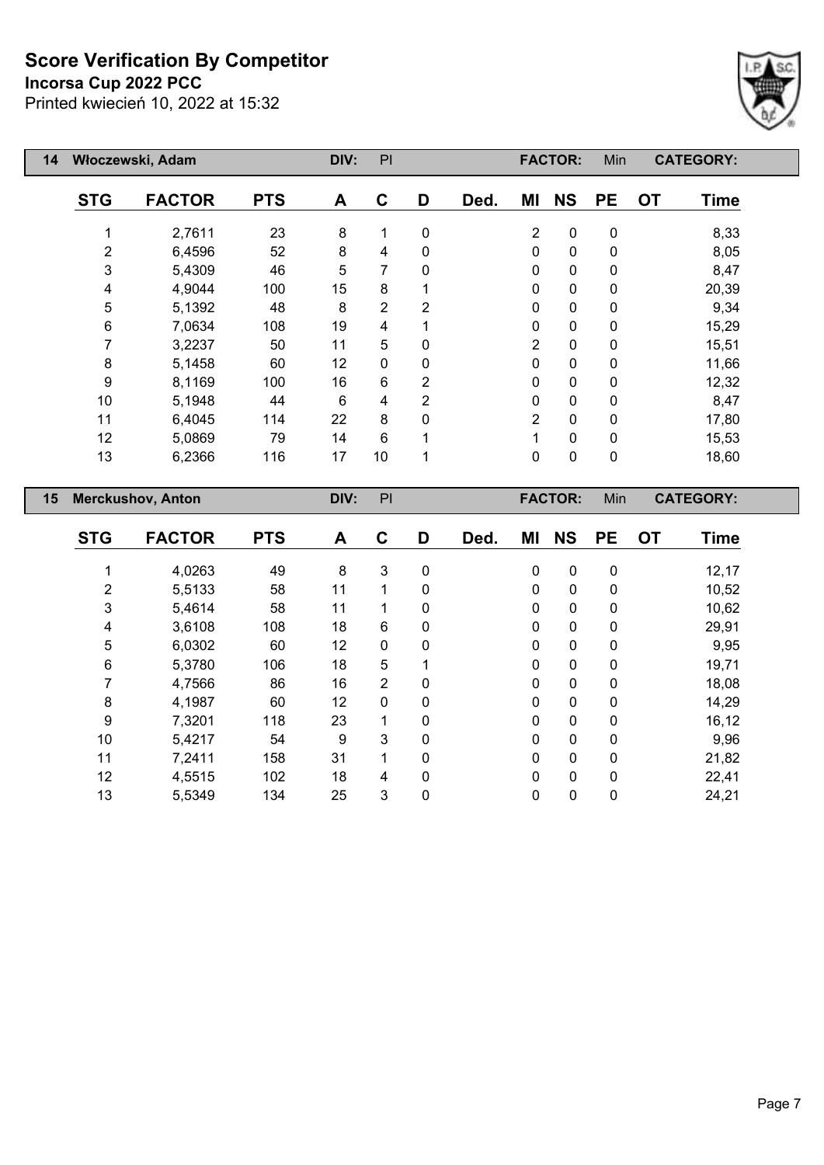## **Incorsa Cup 2022 PCC**



| Włoczewski, Adam<br>14         |                |               |            | DIV:              | PI             |                |      |                | <b>FACTOR:</b> | Min         | <b>CATEGORY:</b>         |  |
|--------------------------------|----------------|---------------|------------|-------------------|----------------|----------------|------|----------------|----------------|-------------|--------------------------|--|
|                                | <b>STG</b>     | <b>FACTOR</b> | <b>PTS</b> | A                 | C              | D              | Ded. | ΜI             | <b>NS</b>      | <b>PE</b>   | <b>OT</b><br><b>Time</b> |  |
|                                |                | 2,7611        | 23         | 8                 | 1              | $\mathbf 0$    |      | $\overline{2}$ | $\pmb{0}$      | $\pmb{0}$   | 8,33                     |  |
|                                | $\overline{2}$ | 6,4596        | 52         | 8                 | 4              | 0              |      | 0              | $\pmb{0}$      | $\pmb{0}$   | 8,05                     |  |
|                                | 3              | 5,4309        | 46         | 5                 | 7              | 0              |      | 0              | $\pmb{0}$      | $\mathbf 0$ | 8,47                     |  |
|                                | 4              | 4,9044        | 100        | 15                | 8              |                |      | 0              | $\pmb{0}$      | $\mathbf 0$ | 20,39                    |  |
|                                | 5              | 5,1392        | 48         | 8                 | $\overline{2}$ | $\overline{2}$ |      | $\Omega$       | $\mathbf 0$    | $\mathbf 0$ | 9,34                     |  |
|                                | 6              | 7,0634        | 108        | 19                | 4              |                |      | $\Omega$       | $\pmb{0}$      | $\mathbf 0$ | 15,29                    |  |
|                                | 7              | 3,2237        | 50         | 11                | 5              | $\mathbf{0}$   |      | 2              | $\mathbf 0$    | $\mathbf 0$ | 15,51                    |  |
|                                | 8              | 5,1458        | 60         | $12 \overline{ }$ | 0              | $\mathbf{0}$   |      | $\Omega$       | $\mathbf 0$    | $\mathbf 0$ | 11,66                    |  |
|                                | 9              | 8,1169        | 100        | 16                | 6              | $\overline{2}$ |      | $\Omega$       | $\mathbf 0$    | $\mathbf 0$ | 12,32                    |  |
|                                | 10             | 5,1948        | 44         | 6                 | 4              | 2              |      | 0              | $\mathbf 0$    | $\mathbf 0$ | 8,47                     |  |
|                                | 11             | 6,4045        | 114        | 22                | 8              | 0              |      | $\overline{2}$ | $\mathbf 0$    | $\mathbf 0$ | 17,80                    |  |
|                                | 12             | 5,0869        | 79         | 14                | 6              |                |      | 1              | $\mathbf 0$    | $\mathbf 0$ | 15,53                    |  |
|                                | 13             | 6,2366        | 116        | 17                | 10             | 1              |      | 0              | $\mathbf 0$    | $\mathbf 0$ | 18,60                    |  |
| 15<br><b>Merckushov, Anton</b> |                |               |            | DIV:              | PI             |                |      |                | <b>FACTOR:</b> | Min         | <b>CATEGORY:</b>         |  |

| <b>STG</b>     | <b>FACTOR</b> | <b>PTS</b> | A  | C              | D | Ded. | ΜI           | <b>NS</b>    | <b>PE</b>    | <b>OT</b> | <b>Time</b> |
|----------------|---------------|------------|----|----------------|---|------|--------------|--------------|--------------|-----------|-------------|
|                | 4,0263        | 49         | 8  | 3              | 0 |      | $\mathbf 0$  | 0            | 0            |           | 12,17       |
| $\overline{2}$ | 5,5133        | 58         | 11 | 1              | 0 |      | $\mathbf{0}$ | 0            | 0            |           | 10,52       |
| 3              | 5,4614        | 58         | 11 | 1              | 0 |      | 0            | 0            | 0            |           | 10,62       |
| 4              | 3,6108        | 108        | 18 | 6              | 0 |      | 0            | 0            | 0            |           | 29,91       |
| 5              | 6,0302        | 60         | 12 | $\mathbf 0$    | 0 |      | 0            | $\mathbf 0$  | $\Omega$     |           | 9,95        |
| 6              | 5,3780        | 106        | 18 | 5              |   |      | 0            | $\mathbf 0$  | $\mathbf{0}$ |           | 19,71       |
|                | 4,7566        | 86         | 16 | $\overline{2}$ | 0 |      | 0            | $\mathbf 0$  | $\mathbf{0}$ |           | 18,08       |
| 8              | 4,1987        | 60         | 12 | $\mathbf 0$    | 0 |      | $\Omega$     | 0            | $\mathbf{0}$ |           | 14,29       |
| 9              | 7,3201        | 118        | 23 | $\mathbf{1}$   | 0 |      | 0            | 0            | 0            |           | 16, 12      |
| 10             | 5,4217        | 54         | 9  | 3              | 0 |      | $\Omega$     | $\mathbf{0}$ | $\Omega$     |           | 9,96        |
| 11             | 7,2411        | 158        | 31 | 1              | 0 |      | 0            | 0            | 0            |           | 21,82       |
| 12             | 4,5515        | 102        | 18 | 4              | 0 |      | 0            | 0            | $\mathbf{0}$ |           | 22,41       |
| 13             | 5,5349        | 134        | 25 | 3              | 0 |      | 0            | 0            | 0            |           | 24,21       |